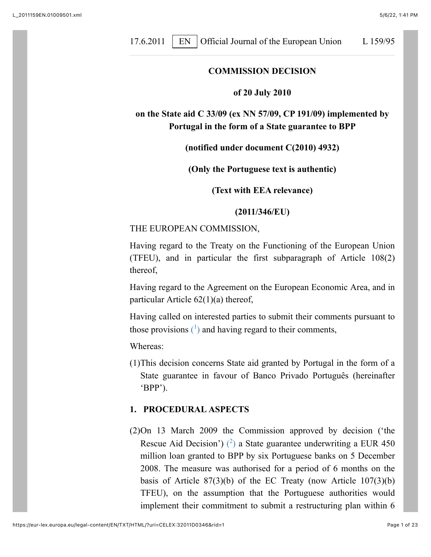17.6.2011 | EN | Official Journal of the European Union L 159/95

#### **COMMISSION DECISION**

#### **of 20 July 2010**

**on the State aid C 33/09 (ex NN 57/09, CP 191/09) implemented by Portugal in the form of a State guarantee to BPP**

#### **(notified under document C(2010) 4932)**

#### **(Only the Portuguese text is authentic)**

#### **(Text with EEA relevance)**

#### **(2011/346/EU)**

#### THE EUROPEAN COMMISSION,

Having regard to the Treaty on the Functioning of the European Union (TFEU), and in particular the first subparagraph of Article 108(2) thereof,

Having regard to the Agreement on the European Economic Area, and in particular Article 62(1)(a) thereof,

<span id="page-0-0"></span>Having called on interested parties to submit their comments pursuant to those provisions  $(1)$  and having regard to their comments,

Whereas:

(1)This decision concerns State aid granted by Portugal in the form of a State guarantee in favour of Banco Privado Português (hereinafter 'BPP').

#### **1. PROCEDURAL ASPECTS**

<span id="page-0-1"></span>(2)On 13 March 2009 the Commission approved by decision ('the Rescue Aid Decision')  $(2)$  a State guarantee underwriting a EUR 450 million loan granted to BPP by six Portuguese banks on 5 December 2008. The measure was authorised for a period of 6 months on the basis of Article  $87(3)(b)$  of the EC Treaty (now Article  $107(3)(b)$ ) TFEU), on the assumption that the Portuguese authorities would implement their commitment to submit a restructuring plan within 6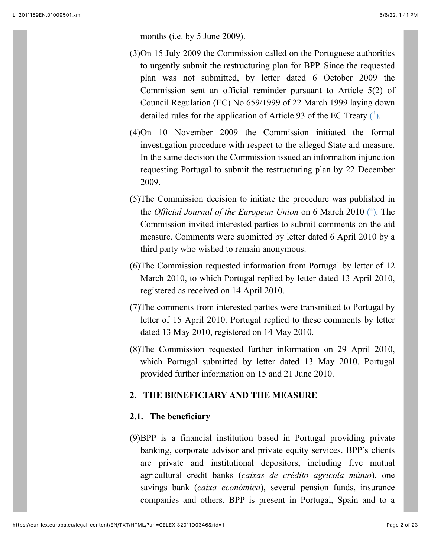months (i.e. by 5 June 2009).

- (3)On 15 July 2009 the Commission called on the Portuguese authorities to urgently submit the restructuring plan for BPP. Since the requested plan was not submitted, by letter dated 6 October 2009 the Commission sent an official reminder pursuant to Article 5(2) of Council Regulation (EC) No 659/1999 of 22 March 1999 laying down detailed rules for the application of Article 93 of the EC Treaty  $(3)$ .
- <span id="page-1-0"></span>(4)On 10 November 2009 the Commission initiated the formal investigation procedure with respect to the alleged State aid measure. In the same decision the Commission issued an information injunction requesting Portugal to submit the restructuring plan by 22 December 2009.
- <span id="page-1-1"></span>(5)The Commission decision to initiate the procedure was published in the *Official Journal of the European Union* on 6 March 2010 [\(](#page-20-3)<sup>4</sup> ). The Commission invited interested parties to submit comments on the aid measure. Comments were submitted by letter dated 6 April 2010 by a third party who wished to remain anonymous.
- (6)The Commission requested information from Portugal by letter of 12 March 2010, to which Portugal replied by letter dated 13 April 2010, registered as received on 14 April 2010.
- (7)The comments from interested parties were transmitted to Portugal by letter of 15 April 2010. Portugal replied to these comments by letter dated 13 May 2010, registered on 14 May 2010.
- (8)The Commission requested further information on 29 April 2010, which Portugal submitted by letter dated 13 May 2010. Portugal provided further information on 15 and 21 June 2010.

# **2. THE BENEFICIARY AND THE MEASURE**

#### **2.1. The beneficiary**

(9)BPP is a financial institution based in Portugal providing private banking, corporate advisor and private equity services. BPP's clients are private and institutional depositors, including five mutual agricultural credit banks (*caixas de crédito agrícola mútuo*), one savings bank (*caixa económica*), several pension funds, insurance companies and others. BPP is present in Portugal, Spain and to a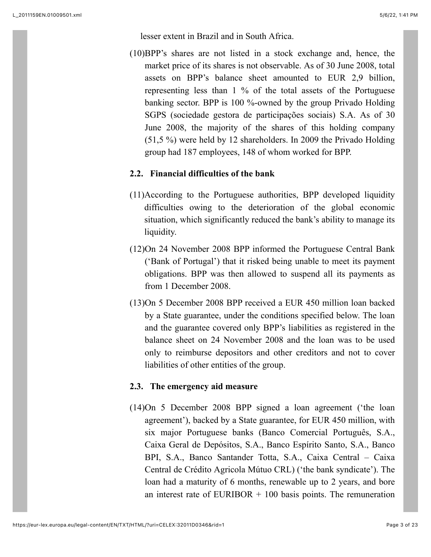lesser extent in Brazil and in South Africa.

(10)BPP's shares are not listed in a stock exchange and, hence, the market price of its shares is not observable. As of 30 June 2008, total assets on BPP's balance sheet amounted to EUR 2,9 billion, representing less than 1 % of the total assets of the Portuguese banking sector. BPP is 100 %-owned by the group Privado Holding SGPS (sociedade gestora de participações sociais) S.A. As of 30 June 2008, the majority of the shares of this holding company (51,5 %) were held by 12 shareholders. In 2009 the Privado Holding group had 187 employees, 148 of whom worked for BPP.

# **2.2. Financial difficulties of the bank**

- (11)According to the Portuguese authorities, BPP developed liquidity difficulties owing to the deterioration of the global economic situation, which significantly reduced the bank's ability to manage its liquidity.
- (12)On 24 November 2008 BPP informed the Portuguese Central Bank ('Bank of Portugal') that it risked being unable to meet its payment obligations. BPP was then allowed to suspend all its payments as from 1 December 2008.
- (13)On 5 December 2008 BPP received a EUR 450 million loan backed by a State guarantee, under the conditions specified below. The loan and the guarantee covered only BPP's liabilities as registered in the balance sheet on 24 November 2008 and the loan was to be used only to reimburse depositors and other creditors and not to cover liabilities of other entities of the group.

# **2.3. The emergency aid measure**

(14)On 5 December 2008 BPP signed a loan agreement ('the loan agreement'), backed by a State guarantee, for EUR 450 million, with six major Portuguese banks (Banco Comercial Português, S.A., Caixa Geral de Depósitos, S.A., Banco Espírito Santo, S.A., Banco BPI, S.A., Banco Santander Totta, S.A., Caixa Central – Caixa Central de Crédito Agricola Mútuo CRL) ('the bank syndicate'). The loan had a maturity of 6 months, renewable up to 2 years, and bore an interest rate of EURIBOR  $+$  100 basis points. The remuneration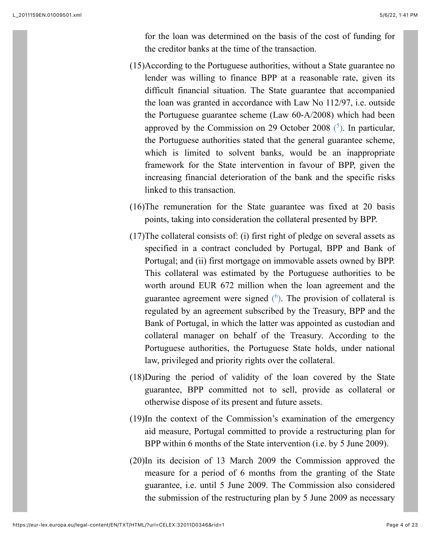<span id="page-3-0"></span>for the loan was determined on the basis of the cost of funding for the creditor banks at the time of the transaction.

- (15)According to the Portuguese authorities, without a State guarantee no lender was willing to finance BPP at a reasonable rate, given its difficult financial situation. The State guarantee that accompanied the loan was granted in accordance with Law No 112/97, i.e. outside the Portuguese guarantee scheme (Law 60-A/2008) which had been approved by the Commission on 29 October 2008  $(5)$ . In particular, the Portuguese authorities stated that the general guarantee scheme, which is limited to solvent banks, would be an inappropriate framework for the State intervention in favour of BPP, given the increasing financial deterioration of the bank and the specific risks linked to this transaction.
- (16)The remuneration for the State guarantee was fixed at 20 basis points, taking into consideration the collateral presented by BPP.
- <span id="page-3-1"></span>(17)The collateral consists of: (i) first right of pledge on several assets as specified in a contract concluded by Portugal, BPP and Bank of Portugal; and (ii) first mortgage on immovable assets owned by BPP. This collateral was estimated by the Portuguese authorities to be worth around EUR 672 million when the loan agreement and the guarantee agreement were signed  $(6)$ . The provision of collateral is regulated by an agreement subscribed by the Treasury, BPP and the Bank of Portugal, in which the latter was appointed as custodian and collateral manager on behalf of the Treasury. According to the Portuguese authorities, the Portuguese State holds, under national law, privileged and priority rights over the collateral.
- (18)During the period of validity of the loan covered by the State guarantee, BPP committed not to sell, provide as collateral or otherwise dispose of its present and future assets.
- (19)In the context of the Commission's examination of the emergency aid measure, Portugal committed to provide a restructuring plan for BPP within 6 months of the State intervention (i.e. by 5 June 2009).
- (20)In its decision of 13 March 2009 the Commission approved the measure for a period of 6 months from the granting of the State guarantee, i.e. until 5 June 2009. The Commission also considered the submission of the restructuring plan by 5 June 2009 as necessary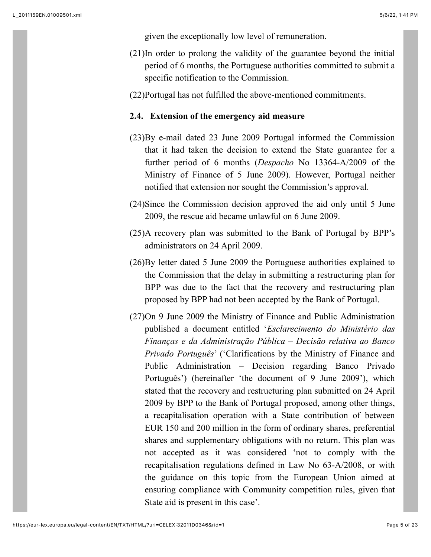given the exceptionally low level of remuneration.

(21)In order to prolong the validity of the guarantee beyond the initial period of 6 months, the Portuguese authorities committed to submit a specific notification to the Commission.

(22)Portugal has not fulfilled the above-mentioned commitments.

#### **2.4. Extension of the emergency aid measure**

- (23)By e-mail dated 23 June 2009 Portugal informed the Commission that it had taken the decision to extend the State guarantee for a further period of 6 months (*Despacho* No 13364-A/2009 of the Ministry of Finance of 5 June 2009). However, Portugal neither notified that extension nor sought the Commission's approval.
- (24)Since the Commission decision approved the aid only until 5 June 2009, the rescue aid became unlawful on 6 June 2009.
- (25)A recovery plan was submitted to the Bank of Portugal by BPP's administrators on 24 April 2009.
- (26)By letter dated 5 June 2009 the Portuguese authorities explained to the Commission that the delay in submitting a restructuring plan for BPP was due to the fact that the recovery and restructuring plan proposed by BPP had not been accepted by the Bank of Portugal.
- (27)On 9 June 2009 the Ministry of Finance and Public Administration published a document entitled '*Esclarecimento do Ministério das Finanças e da Administração Pública – Decisão relativa ao Banco Privado Português*' ('Clarifications by the Ministry of Finance and Public Administration – Decision regarding Banco Privado Português') (hereinafter 'the document of 9 June 2009'), which stated that the recovery and restructuring plan submitted on 24 April 2009 by BPP to the Bank of Portugal proposed, among other things, a recapitalisation operation with a State contribution of between EUR 150 and 200 million in the form of ordinary shares, preferential shares and supplementary obligations with no return. This plan was not accepted as it was considered 'not to comply with the recapitalisation regulations defined in Law No 63-A/2008, or with the guidance on this topic from the European Union aimed at ensuring compliance with Community competition rules, given that State aid is present in this case'.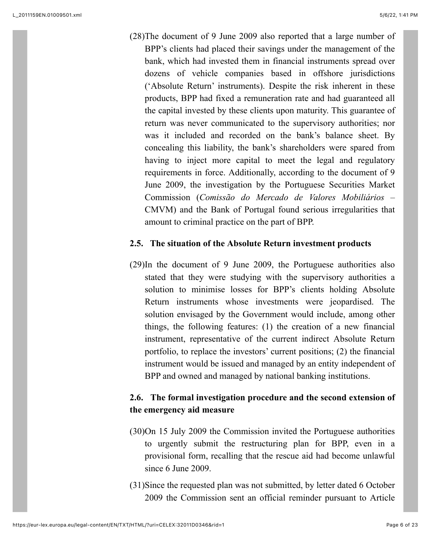(28)The document of 9 June 2009 also reported that a large number of BPP's clients had placed their savings under the management of the bank, which had invested them in financial instruments spread over dozens of vehicle companies based in offshore jurisdictions ('Absolute Return' instruments). Despite the risk inherent in these products, BPP had fixed a remuneration rate and had guaranteed all the capital invested by these clients upon maturity. This guarantee of return was never communicated to the supervisory authorities; nor was it included and recorded on the bank's balance sheet. By concealing this liability, the bank's shareholders were spared from having to inject more capital to meet the legal and regulatory requirements in force. Additionally, according to the document of 9 June 2009, the investigation by the Portuguese Securities Market Commission (*Comissão do Mercado de Valores Mobiliários* – CMVM) and the Bank of Portugal found serious irregularities that amount to criminal practice on the part of BPP.

## **2.5. The situation of the Absolute Return investment products**

(29)In the document of 9 June 2009, the Portuguese authorities also stated that they were studying with the supervisory authorities a solution to minimise losses for BPP's clients holding Absolute Return instruments whose investments were jeopardised. The solution envisaged by the Government would include, among other things, the following features: (1) the creation of a new financial instrument, representative of the current indirect Absolute Return portfolio, to replace the investors' current positions; (2) the financial instrument would be issued and managed by an entity independent of BPP and owned and managed by national banking institutions.

# **2.6. The formal investigation procedure and the second extension of the emergency aid measure**

- (30)On 15 July 2009 the Commission invited the Portuguese authorities to urgently submit the restructuring plan for BPP, even in a provisional form, recalling that the rescue aid had become unlawful since 6 June 2009.
- (31)Since the requested plan was not submitted, by letter dated 6 October 2009 the Commission sent an official reminder pursuant to Article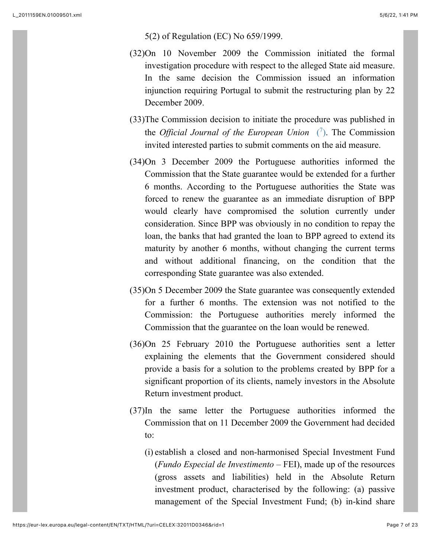#### 5(2) of Regulation (EC) No 659/1999.

- (32)On 10 November 2009 the Commission initiated the formal investigation procedure with respect to the alleged State aid measure. In the same decision the Commission issued an information injunction requiring Portugal to submit the restructuring plan by 22 December 2009.
- <span id="page-6-0"></span>(33)The Commission decision to initiate the procedure was published in the *Official Journal of the European Union*  $(7)$ . The Commission invited interested parties to submit comments on the aid measure.
- (34)On 3 December 2009 the Portuguese authorities informed the Commission that the State guarantee would be extended for a further 6 months. According to the Portuguese authorities the State was forced to renew the guarantee as an immediate disruption of BPP would clearly have compromised the solution currently under consideration. Since BPP was obviously in no condition to repay the loan, the banks that had granted the loan to BPP agreed to extend its maturity by another 6 months, without changing the current terms and without additional financing, on the condition that the corresponding State guarantee was also extended.
- (35)On 5 December 2009 the State guarantee was consequently extended for a further 6 months. The extension was not notified to the Commission: the Portuguese authorities merely informed the Commission that the guarantee on the loan would be renewed.
- (36)On 25 February 2010 the Portuguese authorities sent a letter explaining the elements that the Government considered should provide a basis for a solution to the problems created by BPP for a significant proportion of its clients, namely investors in the Absolute Return investment product.
- (37)In the same letter the Portuguese authorities informed the Commission that on 11 December 2009 the Government had decided to:
	- (i) establish a closed and non-harmonised Special Investment Fund (*Fundo Especial de Investimento* – FEI), made up of the resources (gross assets and liabilities) held in the Absolute Return investment product, characterised by the following: (a) passive management of the Special Investment Fund; (b) in-kind share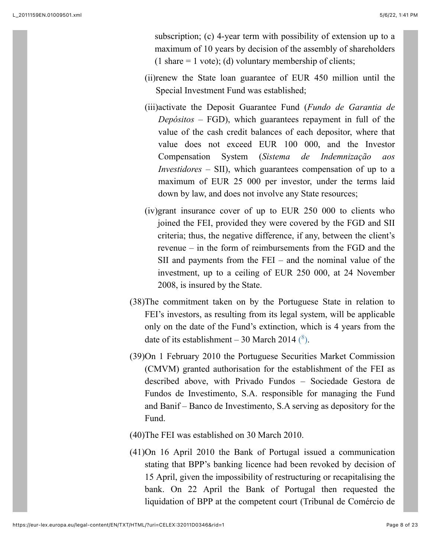subscription; (c) 4-year term with possibility of extension up to a maximum of 10 years by decision of the assembly of shareholders (1 share  $= 1$  vote); (d) voluntary membership of clients;

- (ii)renew the State loan guarantee of EUR 450 million until the Special Investment Fund was established;
- (iii)activate the Deposit Guarantee Fund (*Fundo de Garantia de Depósitos* – FGD), which guarantees repayment in full of the value of the cash credit balances of each depositor, where that value does not exceed EUR 100 000, and the Investor Compensation System (*Sistema de Indemnização aos Investidores* – SII), which guarantees compensation of up to a maximum of EUR 25 000 per investor, under the terms laid down by law, and does not involve any State resources;
- (iv)grant insurance cover of up to EUR 250 000 to clients who joined the FEI, provided they were covered by the FGD and SII criteria; thus, the negative difference, if any, between the client's revenue – in the form of reimbursements from the FGD and the SII and payments from the FEI – and the nominal value of the investment, up to a ceiling of EUR 250 000, at 24 November 2008, is insured by the State.
- (38)The commitment taken on by the Portuguese State in relation to FEI's investors, as resulting from its legal system, will be applicable only on the date of the Fund's extinction, which is 4 years from the date of its establishment – 30 March 2014  $(^8)$ .
- <span id="page-7-0"></span>(39)On 1 February 2010 the Portuguese Securities Market Commission (CMVM) granted authorisation for the establishment of the FEI as described above, with Privado Fundos – Sociedade Gestora de Fundos de Investimento, S.A. responsible for managing the Fund and Banif – Banco de Investimento, S.A serving as depository for the Fund.
- (40)The FEI was established on 30 March 2010.
- (41)On 16 April 2010 the Bank of Portugal issued a communication stating that BPP's banking licence had been revoked by decision of 15 April, given the impossibility of restructuring or recapitalising the bank. On 22 April the Bank of Portugal then requested the liquidation of BPP at the competent court (Tribunal de Comércio de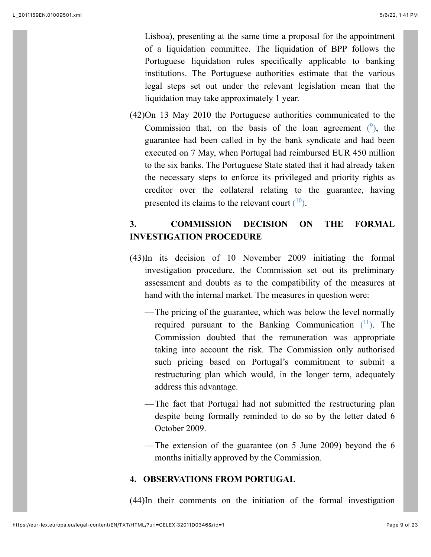Lisboa), presenting at the same time a proposal for the appointment of a liquidation committee. The liquidation of BPP follows the Portuguese liquidation rules specifically applicable to banking institutions. The Portuguese authorities estimate that the various legal steps set out under the relevant legislation mean that the liquidation may take approximately 1 year.

<span id="page-8-0"></span>(42)On 13 May 2010 the Portuguese authorities communicated to the Commission that, on the basis of the loan agreement  $(9)$ , the guarantee had been called in by the bank syndicate and had been executed on 7 May, when Portugal had reimbursed EUR 450 million to the six banks. The Portuguese State stated that it had already taken the necessary steps to enforce its privileged and priority rights as creditor over the collateral relating to the guarantee, having presented its claims to the relevant court  $(10)$  $(10)$ .

# <span id="page-8-1"></span>**3. COMMISSION DECISION ON THE FORMAL INVESTIGATION PROCEDURE**

- <span id="page-8-2"></span>(43)In its decision of 10 November 2009 initiating the formal investigation procedure, the Commission set out its preliminary assessment and doubts as to the compatibility of the measures at hand with the internal market. The measures in question were:
	- —The pricing of the guarantee, which was below the level normally required pursuant to the Banking Communication  $(1)$ . The Commission doubted that the remuneration was appropriate taking into account the risk. The Commission only authorised such pricing based on Portugal's commitment to submit a restructuring plan which would, in the longer term, adequately address this advantage.
	- —The fact that Portugal had not submitted the restructuring plan despite being formally reminded to do so by the letter dated 6 October 2009.
	- —The extension of the guarantee (on 5 June 2009) beyond the 6 months initially approved by the Commission.

# **4. OBSERVATIONS FROM PORTUGAL**

(44)In their comments on the initiation of the formal investigation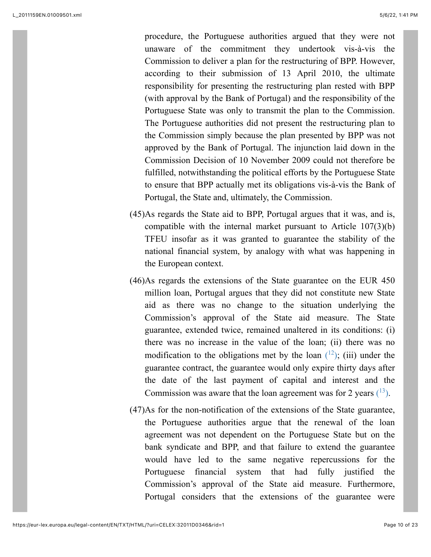procedure, the Portuguese authorities argued that they were not unaware of the commitment they undertook vis-à-vis the Commission to deliver a plan for the restructuring of BPP. However, according to their submission of 13 April 2010, the ultimate responsibility for presenting the restructuring plan rested with BPP (with approval by the Bank of Portugal) and the responsibility of the Portuguese State was only to transmit the plan to the Commission. The Portuguese authorities did not present the restructuring plan to the Commission simply because the plan presented by BPP was not approved by the Bank of Portugal. The injunction laid down in the Commission Decision of 10 November 2009 could not therefore be fulfilled, notwithstanding the political efforts by the Portuguese State to ensure that BPP actually met its obligations vis-à-vis the Bank of Portugal, the State and, ultimately, the Commission.

- (45)As regards the State aid to BPP, Portugal argues that it was, and is, compatible with the internal market pursuant to Article 107(3)(b) TFEU insofar as it was granted to guarantee the stability of the national financial system, by analogy with what was happening in the European context.
- (46)As regards the extensions of the State guarantee on the EUR 450 million loan, Portugal argues that they did not constitute new State aid as there was no change to the situation underlying the Commission's approval of the State aid measure. The State guarantee, extended twice, remained unaltered in its conditions: (i) there was no increase in the value of the loan; (ii) there was no modification to the obligations met by the loan  $(12)$ ; (iii) under the guarantee contract, the guarantee would only expire thirty days after the date of the last payment of capital and interest and the Commission was aware that the loan agreement was for 2 years  $(^{13})$ .
- <span id="page-9-1"></span><span id="page-9-0"></span>(47)As for the non-notification of the extensions of the State guarantee, the Portuguese authorities argue that the renewal of the loan agreement was not dependent on the Portuguese State but on the bank syndicate and BPP, and that failure to extend the guarantee would have led to the same negative repercussions for the Portuguese financial system that had fully justified the Commission's approval of the State aid measure. Furthermore, Portugal considers that the extensions of the guarantee were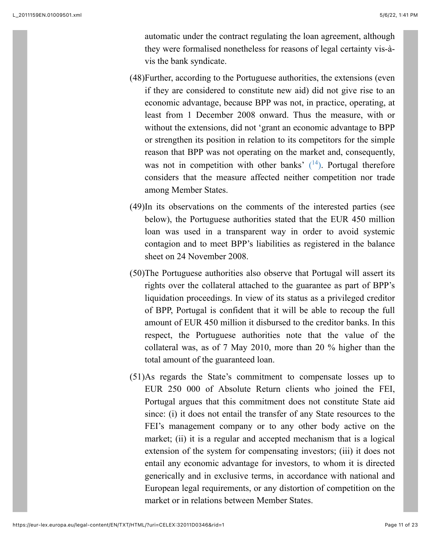automatic under the contract regulating the loan agreement, although they were formalised nonetheless for reasons of legal certainty vis-àvis the bank syndicate.

- (48)Further, according to the Portuguese authorities, the extensions (even if they are considered to constitute new aid) did not give rise to an economic advantage, because BPP was not, in practice, operating, at least from 1 December 2008 onward. Thus the measure, with or without the extensions, did not 'grant an economic advantage to BPP or strengthen its position in relation to its competitors for the simple reason that BPP was not operating on the market and, consequently, was not in competition with other banks'  $(14)$ . Portugal therefore considers that the measure affected neither competition nor trade among Member States.
- <span id="page-10-0"></span>(49)In its observations on the comments of the interested parties (see below), the Portuguese authorities stated that the EUR 450 million loan was used in a transparent way in order to avoid systemic contagion and to meet BPP's liabilities as registered in the balance sheet on 24 November 2008.
- (50)The Portuguese authorities also observe that Portugal will assert its rights over the collateral attached to the guarantee as part of BPP's liquidation proceedings. In view of its status as a privileged creditor of BPP, Portugal is confident that it will be able to recoup the full amount of EUR 450 million it disbursed to the creditor banks. In this respect, the Portuguese authorities note that the value of the collateral was, as of 7 May 2010, more than 20 % higher than the total amount of the guaranteed loan.
- (51)As regards the State's commitment to compensate losses up to EUR 250 000 of Absolute Return clients who joined the FEI, Portugal argues that this commitment does not constitute State aid since: (i) it does not entail the transfer of any State resources to the FEI's management company or to any other body active on the market; (ii) it is a regular and accepted mechanism that is a logical extension of the system for compensating investors; (iii) it does not entail any economic advantage for investors, to whom it is directed generically and in exclusive terms, in accordance with national and European legal requirements, or any distortion of competition on the market or in relations between Member States.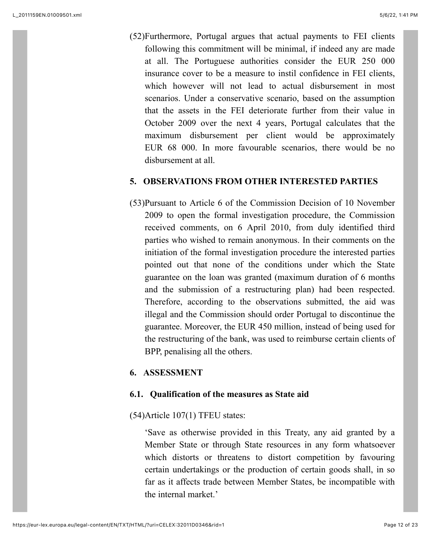(52)Furthermore, Portugal argues that actual payments to FEI clients following this commitment will be minimal, if indeed any are made at all. The Portuguese authorities consider the EUR 250 000 insurance cover to be a measure to instil confidence in FEI clients, which however will not lead to actual disbursement in most scenarios. Under a conservative scenario, based on the assumption that the assets in the FEI deteriorate further from their value in October 2009 over the next 4 years, Portugal calculates that the maximum disbursement per client would be approximately EUR 68 000. In more favourable scenarios, there would be no disbursement at all.

## **5. OBSERVATIONS FROM OTHER INTERESTED PARTIES**

(53)Pursuant to Article 6 of the Commission Decision of 10 November 2009 to open the formal investigation procedure, the Commission received comments, on 6 April 2010, from duly identified third parties who wished to remain anonymous. In their comments on the initiation of the formal investigation procedure the interested parties pointed out that none of the conditions under which the State guarantee on the loan was granted (maximum duration of 6 months and the submission of a restructuring plan) had been respected. Therefore, according to the observations submitted, the aid was illegal and the Commission should order Portugal to discontinue the guarantee. Moreover, the EUR 450 million, instead of being used for the restructuring of the bank, was used to reimburse certain clients of BPP, penalising all the others.

## **6. ASSESSMENT**

## **6.1. Qualification of the measures as State aid**

## (54)Article 107(1) TFEU states:

'Save as otherwise provided in this Treaty, any aid granted by a Member State or through State resources in any form whatsoever which distorts or threatens to distort competition by favouring certain undertakings or the production of certain goods shall, in so far as it affects trade between Member States, be incompatible with the internal market.'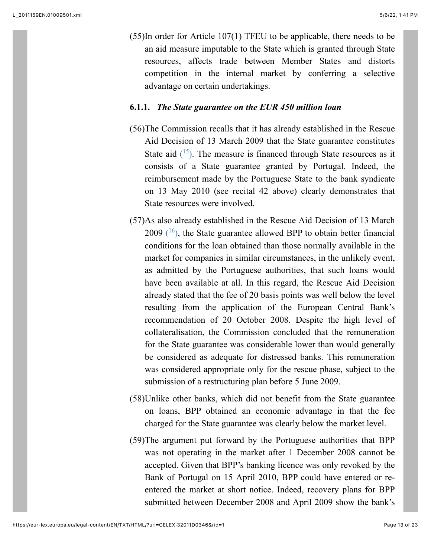(55)In order for Article 107(1) TFEU to be applicable, there needs to be an aid measure imputable to the State which is granted through State resources, affects trade between Member States and distorts competition in the internal market by conferring a selective advantage on certain undertakings.

### **6.1.1.** *The State guarantee on the EUR 450 million loan*

- <span id="page-12-0"></span>(56)The Commission recalls that it has already established in the Rescue Aid Decision of 13 March 2009 that the State guarantee constitutes State aid  $(15)$ . The measure is financed through State resources as it consists of a State guarantee granted by Portugal. Indeed, the reimbursement made by the Portuguese State to the bank syndicate on 13 May 2010 (see recital 42 above) clearly demonstrates that State resources were involved.
- <span id="page-12-1"></span>(57)As also already established in the Rescue Aid Decision of 13 March 2009  $(16)$ , the State guarantee allowed BPP to obtain better financial conditions for the loan obtained than those normally available in the market for companies in similar circumstances, in the unlikely event, as admitted by the Portuguese authorities, that such loans would have been available at all. In this regard, the Rescue Aid Decision already stated that the fee of 20 basis points was well below the level resulting from the application of the European Central Bank's recommendation of 20 October 2008. Despite the high level of collateralisation, the Commission concluded that the remuneration for the State guarantee was considerable lower than would generally be considered as adequate for distressed banks. This remuneration was considered appropriate only for the rescue phase, subject to the submission of a restructuring plan before 5 June 2009.
- (58)Unlike other banks, which did not benefit from the State guarantee on loans, BPP obtained an economic advantage in that the fee charged for the State guarantee was clearly below the market level.
- (59)The argument put forward by the Portuguese authorities that BPP was not operating in the market after 1 December 2008 cannot be accepted. Given that BPP's banking licence was only revoked by the Bank of Portugal on 15 April 2010, BPP could have entered or reentered the market at short notice. Indeed, recovery plans for BPP submitted between December 2008 and April 2009 show the bank's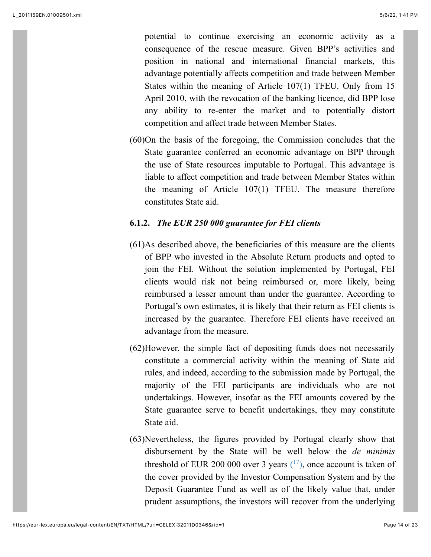potential to continue exercising an economic activity as a consequence of the rescue measure. Given BPP's activities and position in national and international financial markets, this advantage potentially affects competition and trade between Member States within the meaning of Article 107(1) TFEU. Only from 15 April 2010, with the revocation of the banking licence, did BPP lose any ability to re-enter the market and to potentially distort competition and affect trade between Member States.

(60)On the basis of the foregoing, the Commission concludes that the State guarantee conferred an economic advantage on BPP through the use of State resources imputable to Portugal. This advantage is liable to affect competition and trade between Member States within the meaning of Article 107(1) TFEU. The measure therefore constitutes State aid.

## **6.1.2.** *The EUR 250 000 guarantee for FEI clients*

- (61)As described above, the beneficiaries of this measure are the clients of BPP who invested in the Absolute Return products and opted to join the FEI. Without the solution implemented by Portugal, FEI clients would risk not being reimbursed or, more likely, being reimbursed a lesser amount than under the guarantee. According to Portugal's own estimates, it is likely that their return as FEI clients is increased by the guarantee. Therefore FEI clients have received an advantage from the measure.
- (62)However, the simple fact of depositing funds does not necessarily constitute a commercial activity within the meaning of State aid rules, and indeed, according to the submission made by Portugal, the majority of the FEI participants are individuals who are not undertakings. However, insofar as the FEI amounts covered by the State guarantee serve to benefit undertakings, they may constitute State aid.
- <span id="page-13-0"></span>(63)Nevertheless, the figures provided by Portugal clearly show that disbursement by the State will be well below the *de minimis* threshold of EUR 200 000 over 3 years  $(17)$ , once account is taken of the cover provided by the Investor Compensation System and by the Deposit Guarantee Fund as well as of the likely value that, under prudent assumptions, the investors will recover from the underlying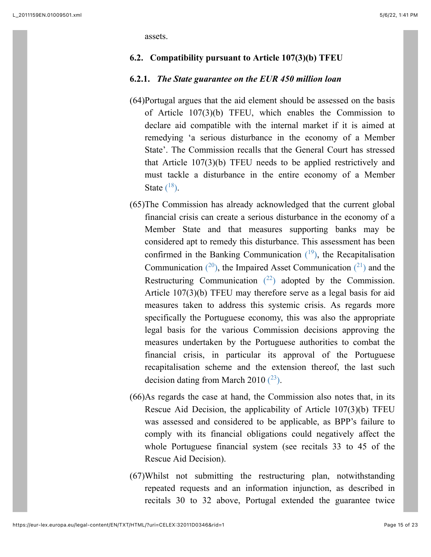assets.

#### **6.2. Compatibility pursuant to Article 107(3)(b) TFEU**

### **6.2.1.** *The State guarantee on the EUR 450 million loan*

- (64)Portugal argues that the aid element should be assessed on the basis of Article 107(3)(b) TFEU, which enables the Commission to declare aid compatible with the internal market if it is aimed at remedying 'a serious disturbance in the economy of a Member State'. The Commission recalls that the General Court has stressed that Article 107(3)(b) TFEU needs to be applied restrictively and must tackle a disturbance in the entire economy of a Member State  $(^{18})$ .
- <span id="page-14-4"></span><span id="page-14-3"></span><span id="page-14-2"></span><span id="page-14-1"></span><span id="page-14-0"></span>(65)The Commission has already acknowledged that the current global financial crisis can create a serious disturbance in the economy of a Member State and that measures supporting banks may be considered apt to remedy this disturbance. This assessment has been confirmed in the Banking Communication  $(19)$ , the Recapitalisation Communication  $(2^0)$ , the Impaired Asset Communication  $(2^1)$  and the Restructuring Communication  $(^{22})$  adopted by the Commission. Article 107(3)(b) TFEU may therefore serve as a legal basis for aid measures taken to address this systemic crisis. As regards more specifically the Portuguese economy, this was also the appropriate legal basis for the various Commission decisions approving the measures undertaken by the Portuguese authorities to combat the financial crisis, in particular its approval of the Portuguese recapitalisation scheme and the extension thereof, the last such decision dating from March 2010  $(^{23})$ .
- <span id="page-14-5"></span>(66)As regards the case at hand, the Commission also notes that, in its Rescue Aid Decision, the applicability of Article 107(3)(b) TFEU was assessed and considered to be applicable, as BPP's failure to comply with its financial obligations could negatively affect the whole Portuguese financial system (see recitals 33 to 45 of the Rescue Aid Decision).
- (67)Whilst not submitting the restructuring plan, notwithstanding repeated requests and an information injunction, as described in recitals 30 to 32 above, Portugal extended the guarantee twice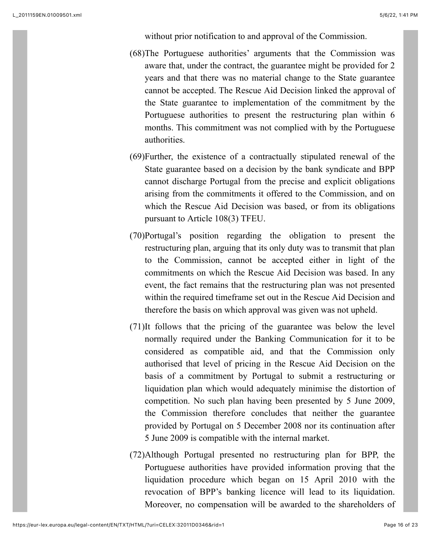without prior notification to and approval of the Commission.

- (68)The Portuguese authorities' arguments that the Commission was aware that, under the contract, the guarantee might be provided for 2 years and that there was no material change to the State guarantee cannot be accepted. The Rescue Aid Decision linked the approval of the State guarantee to implementation of the commitment by the Portuguese authorities to present the restructuring plan within 6 months. This commitment was not complied with by the Portuguese authorities.
- (69)Further, the existence of a contractually stipulated renewal of the State guarantee based on a decision by the bank syndicate and BPP cannot discharge Portugal from the precise and explicit obligations arising from the commitments it offered to the Commission, and on which the Rescue Aid Decision was based, or from its obligations pursuant to Article 108(3) TFEU.
- (70)Portugal's position regarding the obligation to present the restructuring plan, arguing that its only duty was to transmit that plan to the Commission, cannot be accepted either in light of the commitments on which the Rescue Aid Decision was based. In any event, the fact remains that the restructuring plan was not presented within the required timeframe set out in the Rescue Aid Decision and therefore the basis on which approval was given was not upheld.
- (71)It follows that the pricing of the guarantee was below the level normally required under the Banking Communication for it to be considered as compatible aid, and that the Commission only authorised that level of pricing in the Rescue Aid Decision on the basis of a commitment by Portugal to submit a restructuring or liquidation plan which would adequately minimise the distortion of competition. No such plan having been presented by 5 June 2009, the Commission therefore concludes that neither the guarantee provided by Portugal on 5 December 2008 nor its continuation after 5 June 2009 is compatible with the internal market.
- (72)Although Portugal presented no restructuring plan for BPP, the Portuguese authorities have provided information proving that the liquidation procedure which began on 15 April 2010 with the revocation of BPP's banking licence will lead to its liquidation. Moreover, no compensation will be awarded to the shareholders of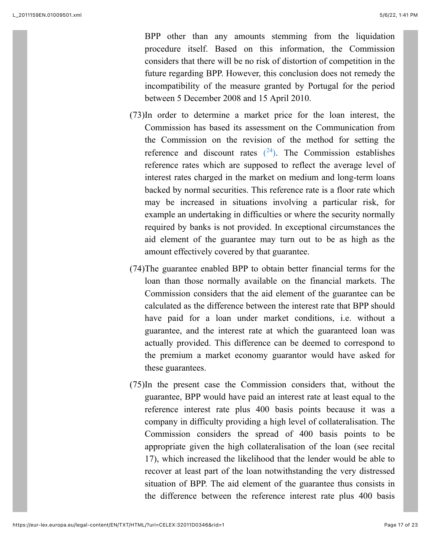BPP other than any amounts stemming from the liquidation procedure itself. Based on this information, the Commission considers that there will be no risk of distortion of competition in the future regarding BPP. However, this conclusion does not remedy the incompatibility of the measure granted by Portugal for the period between 5 December 2008 and 15 April 2010.

- <span id="page-16-0"></span>(73)In order to determine a market price for the loan interest, the Commission has based its assessment on the Communication from the Commission on the revision of the method for setting the reference and discount rates  $(24)$ . The Commission establishes reference rates which are supposed to reflect the average level of interest rates charged in the market on medium and long-term loans backed by normal securities. This reference rate is a floor rate which may be increased in situations involving a particular risk, for example an undertaking in difficulties or where the security normally required by banks is not provided. In exceptional circumstances the aid element of the guarantee may turn out to be as high as the amount effectively covered by that guarantee.
- (74)The guarantee enabled BPP to obtain better financial terms for the loan than those normally available on the financial markets. The Commission considers that the aid element of the guarantee can be calculated as the difference between the interest rate that BPP should have paid for a loan under market conditions, i.e. without a guarantee, and the interest rate at which the guaranteed loan was actually provided. This difference can be deemed to correspond to the premium a market economy guarantor would have asked for these guarantees.
- (75)In the present case the Commission considers that, without the guarantee, BPP would have paid an interest rate at least equal to the reference interest rate plus 400 basis points because it was a company in difficulty providing a high level of collateralisation. The Commission considers the spread of 400 basis points to be appropriate given the high collateralisation of the loan (see recital 17), which increased the likelihood that the lender would be able to recover at least part of the loan notwithstanding the very distressed situation of BPP. The aid element of the guarantee thus consists in the difference between the reference interest rate plus 400 basis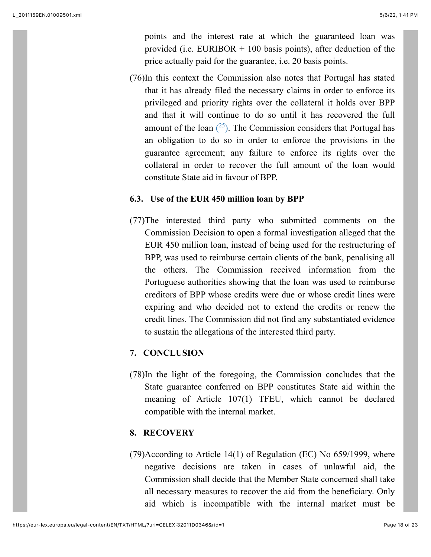points and the interest rate at which the guaranteed loan was provided (i.e. EURIBOR  $+$  100 basis points), after deduction of the price actually paid for the guarantee, i.e. 20 basis points.

<span id="page-17-0"></span>(76)In this context the Commission also notes that Portugal has stated that it has already filed the necessary claims in order to enforce its privileged and priority rights over the collateral it holds over BPP and that it will continue to do so until it has recovered the full amount of the loan  $(^{25})$ . The Commission considers that Portugal has an obligation to do so in order to enforce the provisions in the guarantee agreement; any failure to enforce its rights over the collateral in order to recover the full amount of the loan would constitute State aid in favour of BPP.

## **6.3. Use of the EUR 450 million loan by BPP**

(77)The interested third party who submitted comments on the Commission Decision to open a formal investigation alleged that the EUR 450 million loan, instead of being used for the restructuring of BPP, was used to reimburse certain clients of the bank, penalising all the others. The Commission received information from the Portuguese authorities showing that the loan was used to reimburse creditors of BPP whose credits were due or whose credit lines were expiring and who decided not to extend the credits or renew the credit lines. The Commission did not find any substantiated evidence to sustain the allegations of the interested third party.

## **7. CONCLUSION**

(78)In the light of the foregoing, the Commission concludes that the State guarantee conferred on BPP constitutes State aid within the meaning of Article 107(1) TFEU, which cannot be declared compatible with the internal market.

## **8. RECOVERY**

(79)According to Article 14(1) of Regulation (EC) No 659/1999, where negative decisions are taken in cases of unlawful aid, the Commission shall decide that the Member State concerned shall take all necessary measures to recover the aid from the beneficiary. Only aid which is incompatible with the internal market must be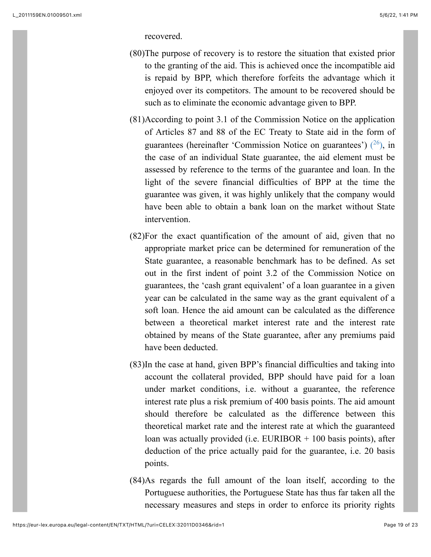recovered.

- (80)The purpose of recovery is to restore the situation that existed prior to the granting of the aid. This is achieved once the incompatible aid is repaid by BPP, which therefore forfeits the advantage which it enjoyed over its competitors. The amount to be recovered should be such as to eliminate the economic advantage given to BPP.
- <span id="page-18-0"></span>(81)According to point 3.1 of the Commission Notice on the application of Articles 87 and 88 of the EC Treaty to State aid in the form of guarantees (hereinafter 'Commission Notice on guarantees')  $(26)$ , in the case of an individual State guarantee, the aid element must be assessed by reference to the terms of the guarantee and loan. In the light of the severe financial difficulties of BPP at the time the guarantee was given, it was highly unlikely that the company would have been able to obtain a bank loan on the market without State intervention.
- (82)For the exact quantification of the amount of aid, given that no appropriate market price can be determined for remuneration of the State guarantee, a reasonable benchmark has to be defined. As set out in the first indent of point 3.2 of the Commission Notice on guarantees, the 'cash grant equivalent' of a loan guarantee in a given year can be calculated in the same way as the grant equivalent of a soft loan. Hence the aid amount can be calculated as the difference between a theoretical market interest rate and the interest rate obtained by means of the State guarantee, after any premiums paid have been deducted.
- (83)In the case at hand, given BPP's financial difficulties and taking into account the collateral provided, BPP should have paid for a loan under market conditions, i.e. without a guarantee, the reference interest rate plus a risk premium of 400 basis points. The aid amount should therefore be calculated as the difference between this theoretical market rate and the interest rate at which the guaranteed loan was actually provided (i.e. EURIBOR + 100 basis points), after deduction of the price actually paid for the guarantee, i.e. 20 basis points.
- (84)As regards the full amount of the loan itself, according to the Portuguese authorities, the Portuguese State has thus far taken all the necessary measures and steps in order to enforce its priority rights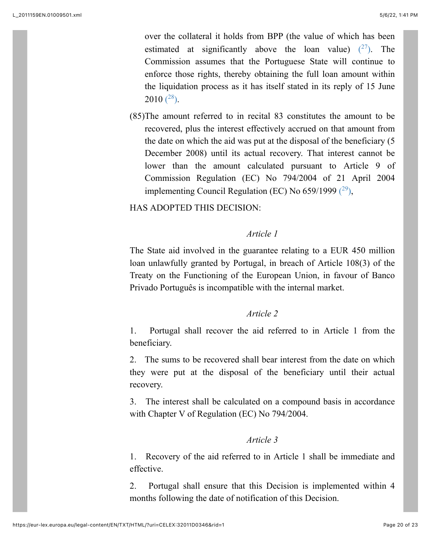<span id="page-19-0"></span>over the collateral it holds from BPP (the value of which has been estimated at significantly above the loan value)  $(27)$ . The Commission assumes that the Portuguese State will continue to enforce those rights, thereby obtaining the full loan amount within the liquidation process as it has itself stated in its reply of 15 June  $2010(^{28})$ .

<span id="page-19-1"></span>(85)The amount referred to in recital 83 constitutes the amount to be recovered, plus the interest effectively accrued on that amount from the date on which the aid was put at the disposal of the beneficiary (5 December 2008) until its actual recovery. That interest cannot be lower than the amount calculated pursuant to Article 9 of Commission Regulation (EC) No 794/2004 of 21 April 2004 implementing Council Regulation (EC) No 659/1999  $(29)$ ,

# HAS ADOPTED THIS DECISION:

### <span id="page-19-2"></span>*Article 1*

The State aid involved in the guarantee relating to a EUR 450 million loan unlawfully granted by Portugal, in breach of Article 108(3) of the Treaty on the Functioning of the European Union, in favour of Banco Privado Português is incompatible with the internal market.

## *Article 2*

1. Portugal shall recover the aid referred to in Article 1 from the beneficiary.

2. The sums to be recovered shall bear interest from the date on which they were put at the disposal of the beneficiary until their actual recovery.

3. The interest shall be calculated on a compound basis in accordance with Chapter V of Regulation (EC) No 794/2004.

#### *Article 3*

1. Recovery of the aid referred to in Article 1 shall be immediate and effective.

2. Portugal shall ensure that this Decision is implemented within 4 months following the date of notification of this Decision.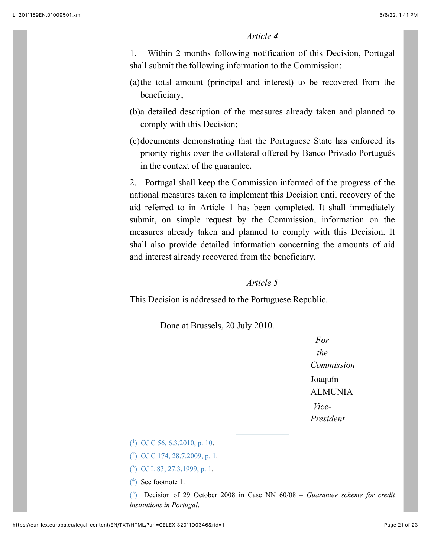### *Article 4*

1. Within 2 months following notification of this Decision, Portugal shall submit the following information to the Commission:

- (a)the total amount (principal and interest) to be recovered from the beneficiary;
- (b)a detailed description of the measures already taken and planned to comply with this Decision;
- (c)documents demonstrating that the Portuguese State has enforced its priority rights over the collateral offered by Banco Privado Português in the context of the guarantee.

2. Portugal shall keep the Commission informed of the progress of the national measures taken to implement this Decision until recovery of the aid referred to in Article 1 has been completed. It shall immediately submit, on simple request by the Commission, information on the measures already taken and planned to comply with this Decision. It shall also provide detailed information concerning the amounts of aid and interest already recovered from the beneficiary.

#### *Article 5*

This Decision is addressed to the Portuguese Republic.

Done at Brussels, 20 July 2010.

*For the Commission* Joaquín ALMUNIA *Vice-President*

<span id="page-20-0"></span> $($ <sup>1</sup>[\)](#page-0-0) [OJ C 56, 6.3.2010, p. 10.](https://eur-lex.europa.eu/legal-content/EN/AUTO/?uri=OJ:C:2010:056:TOC)

<span id="page-20-1"></span>( 2 [\)](#page-0-1) [OJ C 174, 28.7.2009, p. 1](https://eur-lex.europa.eu/legal-content/EN/AUTO/?uri=OJ:C:2009:174:TOC).

<span id="page-20-2"></span>( 3 [\)](#page-1-0) [OJ L 83, 27.3.1999, p. 1.](https://eur-lex.europa.eu/legal-content/EN/AUTO/?uri=OJ:L:1999:083:TOC)

<span id="page-20-3"></span> $(4)$  See footnote 1.

<span id="page-20-4"></span>( 5 [\)](#page-3-0) Decision of 29 October 2008 in Case NN 60/08 – *Guarantee scheme for credit institutions in Portugal*.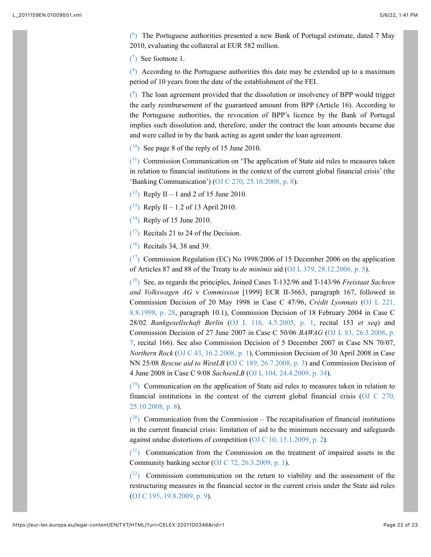<span id="page-21-0"></span> $(6)$  The Portuguese authorities presented a new Bank of Portugal estimate, dated 7 May 2010, evaluating the collateral at EUR 582 million.

<span id="page-21-1"></span> $(7)$  See footnote 1.

<span id="page-21-2"></span> $\binom{8}{3}$  According to the Portuguese authorities this date may be extended up to a maximum period of 10 years from the date of the establishment of the FEI.

<span id="page-21-3"></span> $(9)$  The loan agreement provided that the dissolution or insolvency of BPP would trigger the early reimbursement of the guaranteed amount from BPP (Article 16). According to the Portuguese authorities, the revocation of BPP's licence by the Bank of Portugal implies such dissolution and, therefore, under the contract the loan amounts became due and were called in by the bank acting as agent under the loan agreement.

<span id="page-21-4"></span> $(10)$  See page 8 of the reply of 15 June 2010.

<span id="page-21-5"></span> $(1)$  Commission Communication on 'The application of State aid rules to measures taken in relation to financial institutions in the context of the current global financial crisis' (the 'Banking Communication') ([OJ C 270, 25.10.2008, p. 8\)](https://eur-lex.europa.eu/legal-content/EN/AUTO/?uri=OJ:C:2008:270:TOC).

<span id="page-21-6"></span> $(12)$  Reply II – 1 and 2 of 15 June 2010.

<span id="page-21-7"></span> $(13)$  Reply II – 1.2 of 13 April 2010.

<span id="page-21-8"></span> $(14)$  Reply of 15 June 2010.

<span id="page-21-9"></span> $(15)$  Recitals 21 to 24 of the Decision.

<span id="page-21-10"></span>( [16\)](#page-12-1) Recitals 34, 38 and 39.

<span id="page-21-11"></span> $(17)$  Commission Regulation (EC) No 1998/2006 of 15 December 2006 on the application of Articles 87 and 88 of the Treaty to *de minimis* aid [\(OJ L 379, 28.12.2006, p. 5](https://eur-lex.europa.eu/legal-content/EN/AUTO/?uri=OJ:L:2006:379:TOC)).

<span id="page-21-12"></span>( [18\)](#page-14-0) See, as regards the principles, Joined Cases T-132/96 and T-143/96 *Freistaat Sachsen and Volkswagen AG* v *Commission* [1999] ECR II-3663, paragraph 167, followed in Commission Decision of 20 May 1998 in Case C 47/96, *Crédit Lyonnais* (OJ L 221, [8.8.1998, p. 28, paragraph 10.1\), Commission Decision of 18 February 2004 in Case C](https://eur-lex.europa.eu/legal-content/EN/AUTO/?uri=OJ:L:1998:221:TOC) 28/02 *Bankgesellschaft Berlin* ([OJ L 116, 4.5.2005, p. 1,](https://eur-lex.europa.eu/legal-content/EN/AUTO/?uri=OJ:L:2005:116:TOC) recital 153 *et seq*) and Commission Decision of 27 June 2007 in Case C 50/06 *BAWAG* (OJ L 83, 26.3.2008, p. [7, recital 166\). See also Commission Decision of 5 December 2007 in Case NN 70/07,](https://eur-lex.europa.eu/legal-content/EN/AUTO/?uri=OJ:L:2008:083:TOC) *Northern Rock* [\(OJ C 43, 16.2.2008, p. 1](https://eur-lex.europa.eu/legal-content/EN/AUTO/?uri=OJ:C:2008:043:TOC)), Commission Decision of 30 April 2008 in Case NN 25/08 *Rescue aid to WestLB* ([OJ C 189, 26.7.2008, p. 3](https://eur-lex.europa.eu/legal-content/EN/AUTO/?uri=OJ:C:2008:189:TOC)) and Commission Decision of 4 June 2008 in Case C 9/08 *SachsenLB* ([OJ L 104, 24.4.2009, p. 34\)](https://eur-lex.europa.eu/legal-content/EN/AUTO/?uri=OJ:L:2009:104:TOC).

<span id="page-21-13"></span> $(19)$  Communication on the application of State aid rules to measures taken in relation to [financial institutions in the context of the current global financial crisis \(OJ C 270,](https://eur-lex.europa.eu/legal-content/EN/AUTO/?uri=OJ:C:2008:270:TOC) 25.10.2008, p. 8).

<span id="page-21-14"></span> $(20)$  Communication from the Commission – The recapitalisation of financial institutions in the current financial crisis: limitation of aid to the minimum necessary and safeguards against undue distortions of competition ([OJ C 10, 15.1.2009, p. 2\)](https://eur-lex.europa.eu/legal-content/EN/AUTO/?uri=OJ:C:2009:010:TOC).

<span id="page-21-15"></span> $(2<sup>1</sup>)$  Communication from the Commission on the treatment of impaired assets in the Community banking sector ([OJ C 72, 26.3.2009, p. 1](https://eur-lex.europa.eu/legal-content/EN/AUTO/?uri=OJ:C:2009:072:TOC)).

<span id="page-21-16"></span> $(2^2)$  Commission communication on the return to viability and the assessment of the restructuring measures in the financial sector in the current crisis under the State aid rules ([OJ C 195, 19.8.2009, p. 9\)](https://eur-lex.europa.eu/legal-content/EN/AUTO/?uri=OJ:C:2009:195:TOC).